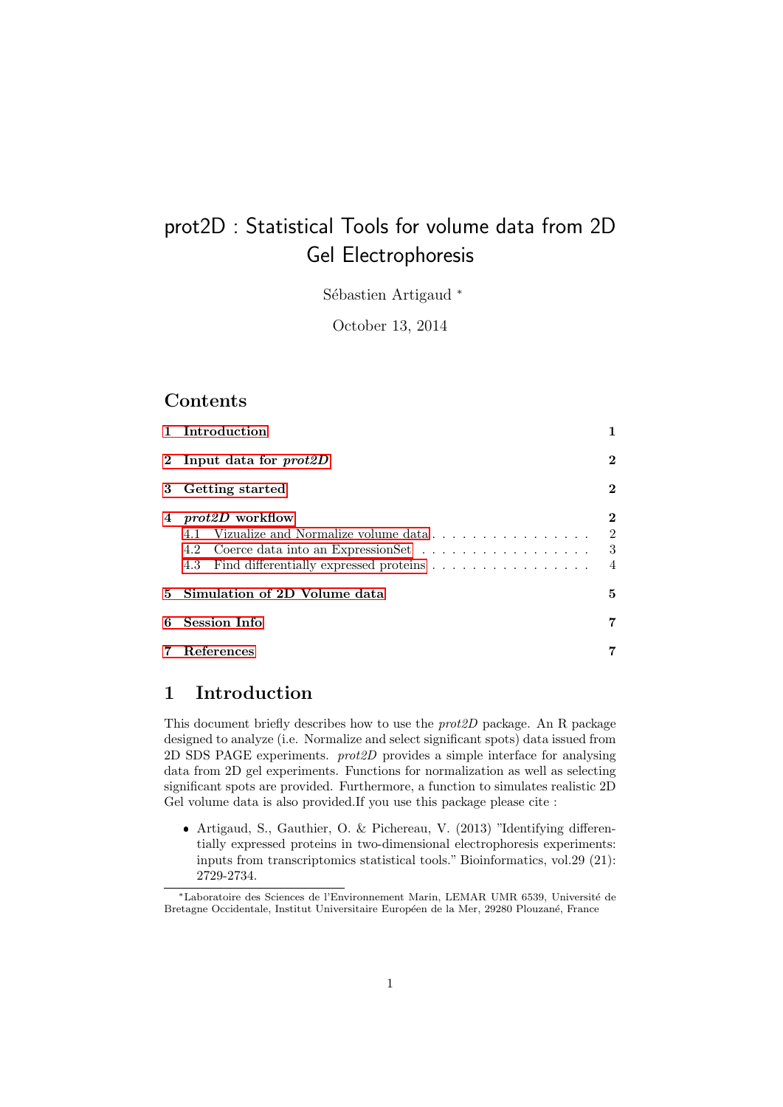# prot2D : Statistical Tools for volume data from 2D Gel Electrophoresis

Sébastien Artigaud \*

October 13, 2014

### Contents

|   | 1 Introduction                                                  |                                                     |  |  |  |  |  |
|---|-----------------------------------------------------------------|-----------------------------------------------------|--|--|--|--|--|
|   | 2 Input data for $prot2D$                                       |                                                     |  |  |  |  |  |
|   | 3 Getting started                                               |                                                     |  |  |  |  |  |
| 4 | <i>prot2D</i> workflow<br>4.2 Coerce data into an ExpressionSet | $\bf{2}$<br>$\overline{2}$<br>- 3<br>$\overline{4}$ |  |  |  |  |  |
|   | 5 Simulation of 2D Volume data                                  |                                                     |  |  |  |  |  |
| 6 | <b>Session Info</b>                                             |                                                     |  |  |  |  |  |
|   | References                                                      |                                                     |  |  |  |  |  |

### <span id="page-0-0"></span>1 Introduction

This document briefly describes how to use the prot2D package. An R package designed to analyze (i.e. Normalize and select significant spots) data issued from 2D SDS PAGE experiments. prot2D provides a simple interface for analysing data from 2D gel experiments. Functions for normalization as well as selecting significant spots are provided. Furthermore, a function to simulates realistic 2D Gel volume data is also provided.If you use this package please cite :

 Artigaud, S., Gauthier, O. & Pichereau, V. (2013) "Identifying differentially expressed proteins in two-dimensional electrophoresis experiments: inputs from transcriptomics statistical tools." Bioinformatics, vol.29 (21): 2729-2734.

<sup>∗</sup>Laboratoire des Sciences de l'Environnement Marin, LEMAR UMR 6539, Universit´e de Bretagne Occidentale, Institut Universitaire Européen de la Mer, 29280 Plouzané, France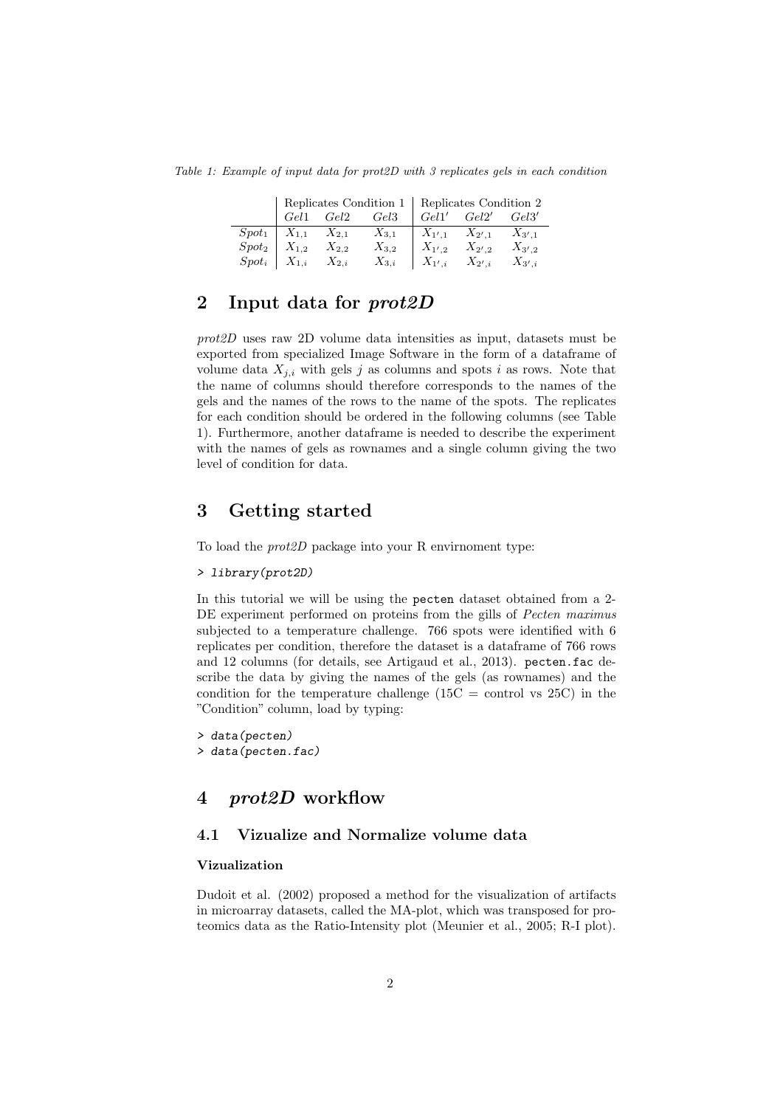Table 1: Example of input data for prot2D with 3 replicates gels in each condition

|                                    | Replicates Condition 1   Replicates Condition 2 |                                                   |                                                                                           |            |                                  |  |
|------------------------------------|-------------------------------------------------|---------------------------------------------------|-------------------------------------------------------------------------------------------|------------|----------------------------------|--|
|                                    |                                                 |                                                   |                                                                                           |            |                                  |  |
|                                    |                                                 |                                                   | $Spot_1 \mid X_{1,1} \mid X_{2,1} \mid X_{3,1} \mid X_{1',1} \mid X_{2',1} \mid X_{3',1}$ |            |                                  |  |
| $Spot_2 \mid X_{1,2} \mid X_{2,2}$ |                                                 |                                                   | $X_{3,2}$                                                                                 | $X_{1',2}$ | $X_{2',2}$ $X_{3',2}$            |  |
|                                    |                                                 | $Spot_i \mid X_{1,i} \quad X_{2,i} \quad X_{3,i}$ |                                                                                           |            | $X_{1',i}$ $X_{2',i}$ $X_{3',i}$ |  |

# <span id="page-1-0"></span>2 Input data for *prot2D*

prot2D uses raw 2D volume data intensities as input, datasets must be exported from specialized Image Software in the form of a dataframe of volume data  $X_{i,i}$  with gels j as columns and spots i as rows. Note that the name of columns should therefore corresponds to the names of the gels and the names of the rows to the name of the spots. The replicates for each condition should be ordered in the following columns (see Table 1). Furthermore, another dataframe is needed to describe the experiment with the names of gels as rownames and a single column giving the two level of condition for data.

# <span id="page-1-1"></span>3 Getting started

To load the prot2D package into your R envirnoment type:

#### > library(prot2D)

In this tutorial we will be using the pecten dataset obtained from a 2- DE experiment performed on proteins from the gills of Pecten maximus subjected to a temperature challenge. 766 spots were identified with 6 replicates per condition, therefore the dataset is a dataframe of 766 rows and 12 columns (for details, see Artigaud et al., 2013). pecten.fac describe the data by giving the names of the gels (as rownames) and the condition for the temperature challenge  $(15C =$  control vs  $25C$ ) in the "Condition" column, load by typing:

```
> data(pecten)
> data(pecten.fac)
```
### <span id="page-1-2"></span>4 prot2D workflow

### <span id="page-1-3"></span>4.1 Vizualize and Normalize volume data

#### Vizualization

Dudoit et al. (2002) proposed a method for the visualization of artifacts in microarray datasets, called the MA-plot, which was transposed for proteomics data as the Ratio-Intensity plot (Meunier et al., 2005; R-I plot).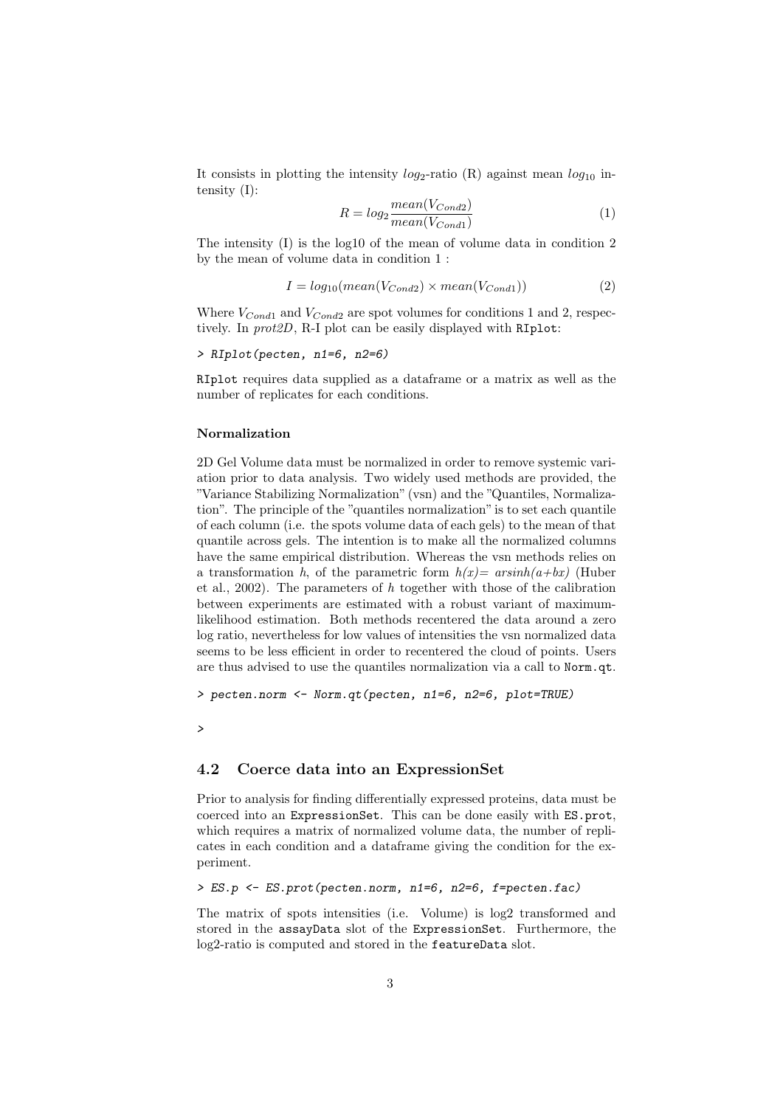It consists in plotting the intensity  $log_2$ -ratio (R) against mean  $log_{10}$  intensity (I):

$$
R = log_2 \frac{mean(V_{Cond2})}{mean(V_{Cond1})}
$$
\n<sup>(1)</sup>

The intensity (I) is the log10 of the mean of volume data in condition 2 by the mean of volume data in condition 1 :

$$
I = log_{10}(mean(V_{Cond2}) \times mean(V_{Cond1}))
$$
\n(2)

Where  $V_{Cond1}$  and  $V_{Cond2}$  are spot volumes for conditions 1 and 2, respectively. In prot2D, R-I plot can be easily displayed with RIplot:

$$
\verb|+ RIplot(pecten, n1=6, n2=6)|
$$

RIplot requires data supplied as a dataframe or a matrix as well as the number of replicates for each conditions.

#### Normalization

2D Gel Volume data must be normalized in order to remove systemic variation prior to data analysis. Two widely used methods are provided, the "Variance Stabilizing Normalization" (vsn) and the "Quantiles, Normalization". The principle of the "quantiles normalization" is to set each quantile of each column (i.e. the spots volume data of each gels) to the mean of that quantile across gels. The intention is to make all the normalized columns have the same empirical distribution. Whereas the vsn methods relies on a transformation h, of the parametric form  $h(x) = arsinh(a+bx)$  (Huber et al., 2002). The parameters of h together with those of the calibration between experiments are estimated with a robust variant of maximumlikelihood estimation. Both methods recentered the data around a zero log ratio, nevertheless for low values of intensities the vsn normalized data seems to be less efficient in order to recentered the cloud of points. Users are thus advised to use the quantiles normalization via a call to Norm.qt.

> pecten.norm <- Norm.qt(pecten, n1=6, n2=6, plot=TRUE)

>

#### <span id="page-2-0"></span>4.2 Coerce data into an ExpressionSet

Prior to analysis for finding differentially expressed proteins, data must be coerced into an ExpressionSet. This can be done easily with ES.prot, which requires a matrix of normalized volume data, the number of replicates in each condition and a dataframe giving the condition for the experiment.

> ES.p <- ES.prot(pecten.norm, n1=6, n2=6, f=pecten.fac)

The matrix of spots intensities (i.e. Volume) is log2 transformed and stored in the assayData slot of the ExpressionSet. Furthermore, the log2-ratio is computed and stored in the featureData slot.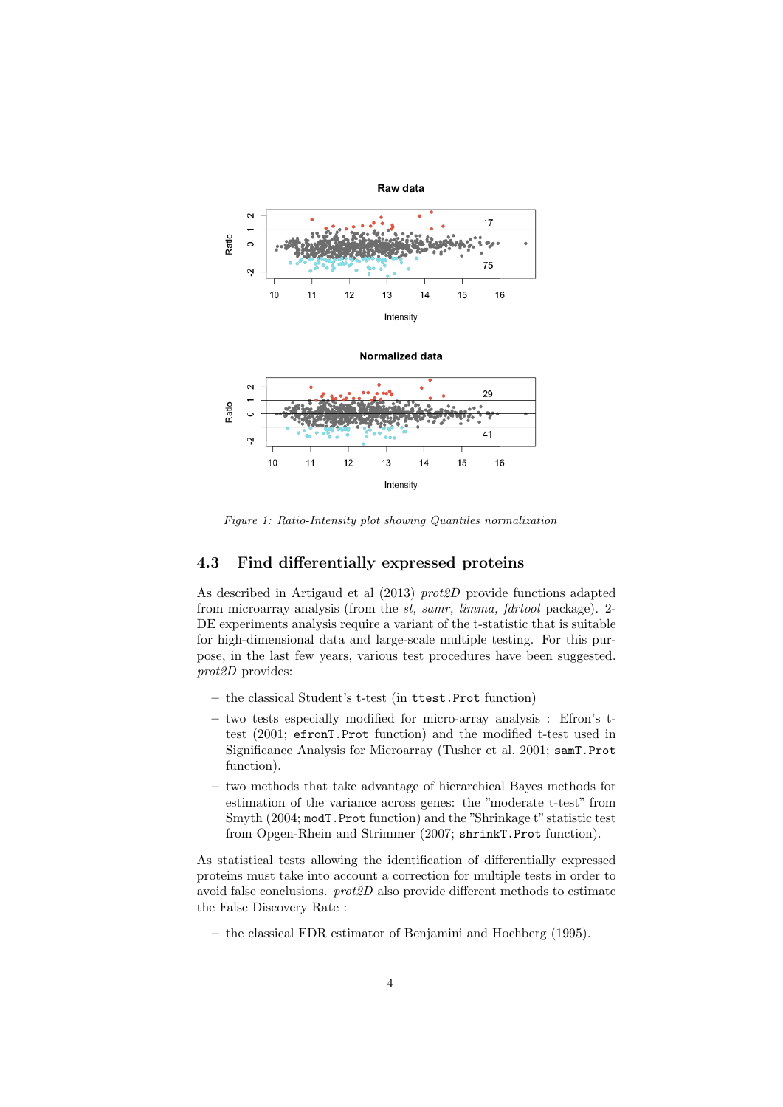

Figure 1: Ratio-Intensity plot showing Quantiles normalization

### <span id="page-3-0"></span>4.3 Find differentially expressed proteins

As described in Artigaud et al (2013) prot2D provide functions adapted from microarray analysis (from the st, samr, limma, fdrtool package). 2- DE experiments analysis require a variant of the t-statistic that is suitable for high-dimensional data and large-scale multiple testing. For this purpose, in the last few years, various test procedures have been suggested. prot2D provides:

- the classical Student's t-test (in ttest.Prot function)
- two tests especially modified for micro-array analysis : Efron's ttest (2001; efronT.Prot function) and the modified t-test used in Significance Analysis for Microarray (Tusher et al, 2001; samT.Prot function).
- two methods that take advantage of hierarchical Bayes methods for estimation of the variance across genes: the "moderate t-test" from Smyth (2004; modT.Prot function) and the "Shrinkage t" statistic test from Opgen-Rhein and Strimmer (2007; shrinkT.Prot function).

As statistical tests allowing the identification of differentially expressed proteins must take into account a correction for multiple tests in order to avoid false conclusions. prot2D also provide different methods to estimate the False Discovery Rate :

– the classical FDR estimator of Benjamini and Hochberg (1995).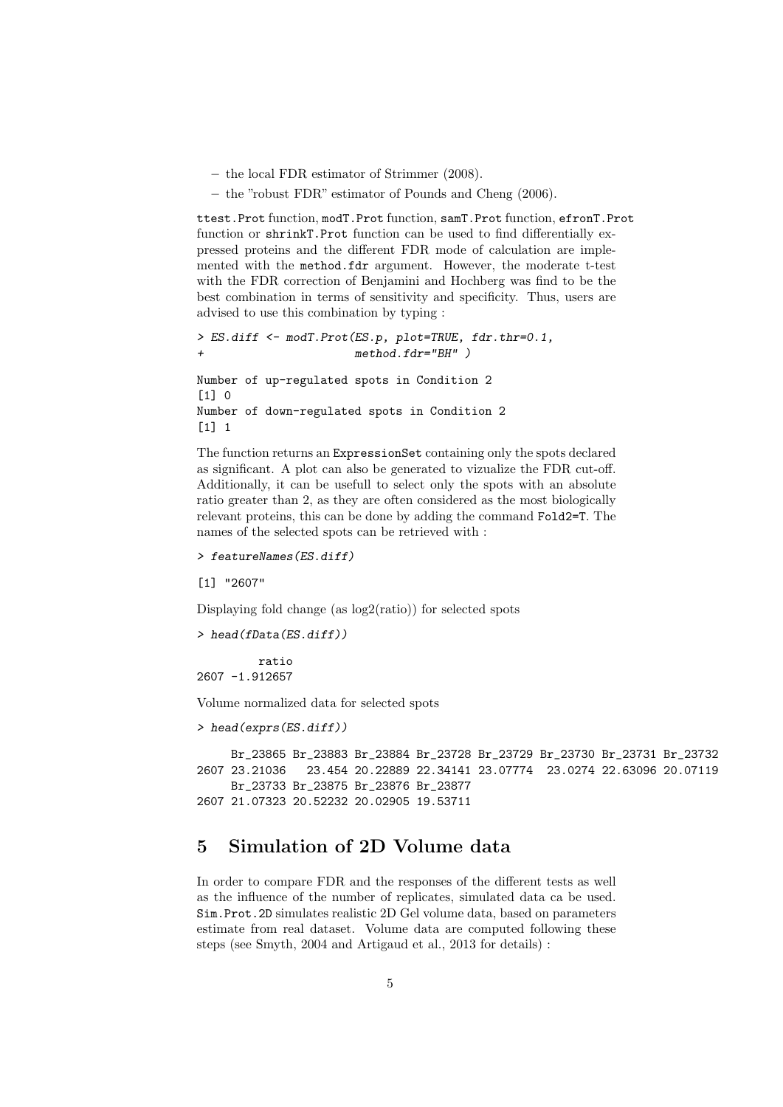- the local FDR estimator of Strimmer (2008).
- the "robust FDR" estimator of Pounds and Cheng (2006).

ttest.Prot function, modT.Prot function, samT.Prot function, efronT.Prot function or shrinkT.Prot function can be used to find differentially expressed proteins and the different FDR mode of calculation are implemented with the method.fdr argument. However, the moderate t-test with the FDR correction of Benjamini and Hochberg was find to be the best combination in terms of sensitivity and specificity. Thus, users are advised to use this combination by typing :

```
> ES.diff <- modT.Prot(ES.p, plot=TRUE, fdr.thr=0.1,
                       method.fdr="BH" )Number of up-regulated spots in Condition 2
[1] 0
Number of down-regulated spots in Condition 2
[1] 1
```
The function returns an ExpressionSet containing only the spots declared as significant. A plot can also be generated to vizualize the FDR cut-off. Additionally, it can be usefull to select only the spots with an absolute ratio greater than 2, as they are often considered as the most biologically relevant proteins, this can be done by adding the command Fold2=T. The names of the selected spots can be retrieved with :

```
> featureNames(ES.diff)
```
[1] "2607"

Displaying fold change (as log2(ratio)) for selected spots

```
> head(fData(ES.diff))
```
ratio 2607 -1.912657

Volume normalized data for selected spots

```
> head(exprs(ES.diff))
```

```
Br_23865 Br_23883 Br_23884 Br_23728 Br_23729 Br_23730 Br_23731 Br_23732
2607 23.21036 23.454 20.22889 22.34141 23.07774 23.0274 22.63096 20.07119
     Br_23733 Br_23875 Br_23876 Br_23877
2607 21.07323 20.52232 20.02905 19.53711
```
# <span id="page-4-0"></span>5 Simulation of 2D Volume data

In order to compare FDR and the responses of the different tests as well as the influence of the number of replicates, simulated data ca be used. Sim.Prot.2D simulates realistic 2D Gel volume data, based on parameters estimate from real dataset. Volume data are computed following these steps (see Smyth, 2004 and Artigaud et al., 2013 for details) :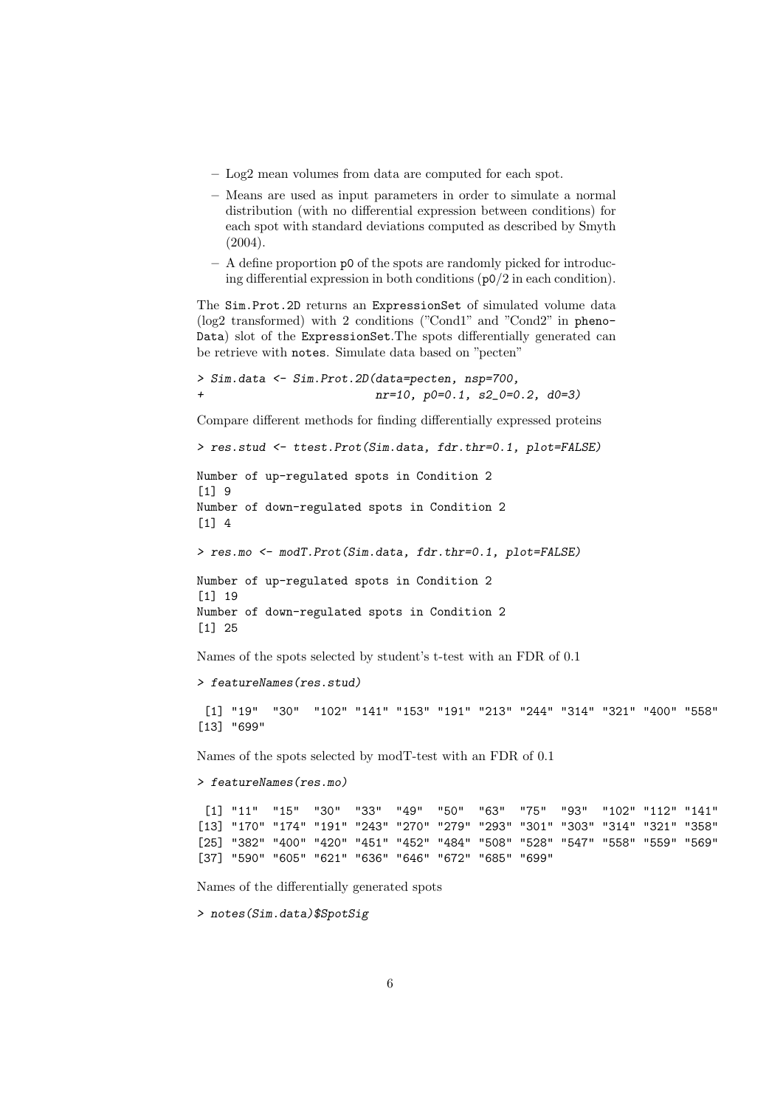- Log2 mean volumes from data are computed for each spot.
- Means are used as input parameters in order to simulate a normal distribution (with no differential expression between conditions) for each spot with standard deviations computed as described by Smyth (2004).
- A define proportion p0 of the spots are randomly picked for introducing differential expression in both conditions (p0/2 in each condition).

The Sim.Prot.2D returns an ExpressionSet of simulated volume data (log2 transformed) with 2 conditions ("Cond1" and "Cond2" in pheno-Data) slot of the ExpressionSet.The spots differentially generated can be retrieve with notes. Simulate data based on "pecten"

```
> Sim.data <- Sim.Prot.2D(data=pecten, nsp=700,
+ nr=10, p0=0.1, s2_0=0.2, d0=3)
```
Compare different methods for finding differentially expressed proteins

```
> res.stud <- ttest.Prot(Sim.data, fdr.thr=0.1, plot=FALSE)
```
Number of up-regulated spots in Condition 2 [1] 9 Number of down-regulated spots in Condition 2 [1] 4

> res.mo <- modT.Prot(Sim.data, fdr.thr=0.1, plot=FALSE)

Number of up-regulated spots in Condition 2 [1] 19 Number of down-regulated spots in Condition 2 [1] 25

Names of the spots selected by student's t-test with an FDR of 0.1

> featureNames(res.stud)

[1] "19" "30" "102" "141" "153" "191" "213" "244" "314" "321" "400" "558" [13] "699"

Names of the spots selected by modT-test with an FDR of 0.1

> featureNames(res.mo)

[1] "11" "15" "30" "33" "49" "50" "63" "75" "93" "102" "112" "141" [13] "170" "174" "191" "243" "270" "279" "293" "301" "303" "314" "321" "358" [25] "382" "400" "420" "451" "452" "484" "508" "528" "547" "558" "559" "569" [37] "590" "605" "621" "636" "646" "672" "685" "699"

Names of the differentially generated spots

> notes(Sim.data)\$SpotSig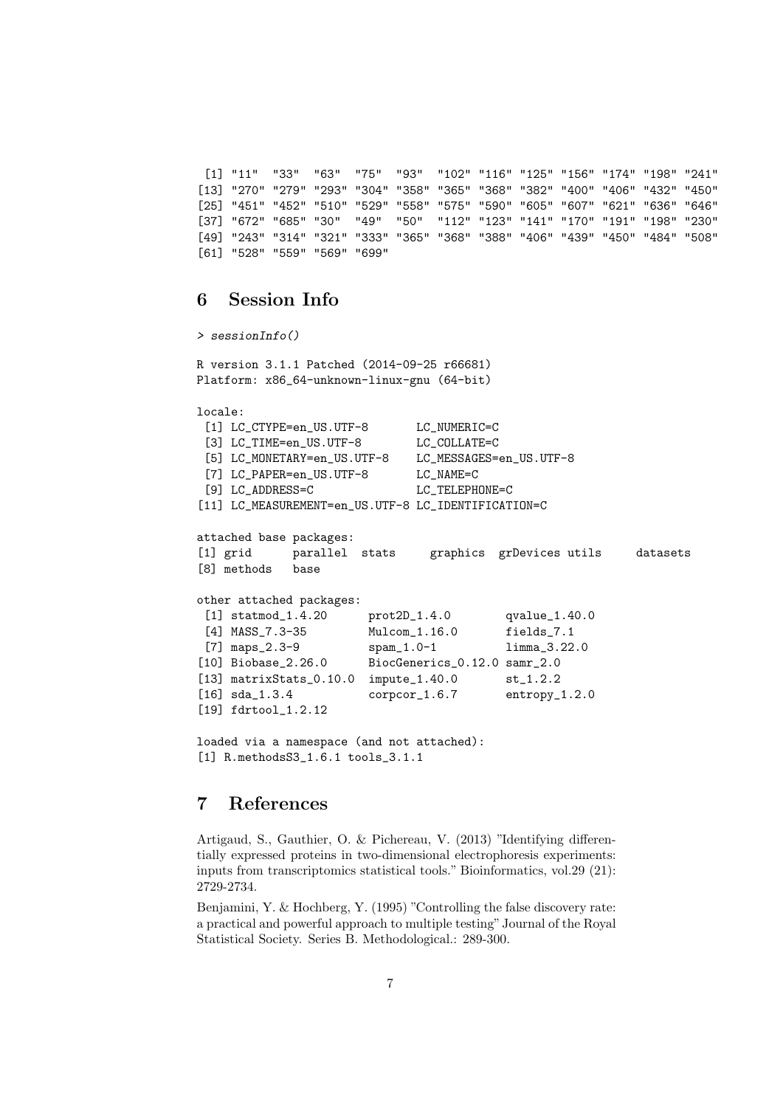[1] "11" "33" "63" "75" "93" "102" "116" "125" "156" "174" "198" "241" [13] "270" "279" "293" "304" "358" "365" "368" "382" "400" "406" "432" "450" [25] "451" "452" "510" "529" "558" "575" "590" "605" "607" "621" "636" "646" [37] "672" "685" "30" "49" "50" "112" "123" "141" "170" "191" "198" "230" [49] "243" "314" "321" "333" "365" "368" "388" "406" "439" "450" "484" "508" [61] "528" "559" "569" "699"

### <span id="page-6-0"></span>6 Session Info

```
> sessionInfo()
R version 3.1.1 Patched (2014-09-25 r66681)
Platform: x86_64-unknown-linux-gnu (64-bit)
locale:
 [1] LC_CTYPE=en_US.UTF-8 LC_NUMERIC=C
 [3] LC TIME=en US.UTF-8 LC COLLATE=C
 [5] LC_MONETARY=en_US.UTF-8 LC_MESSAGES=en_US.UTF-8
 [7] LC_PAPER=en_US.UTF-8 LC_NAME=C
 [9] LC ADDRESS=C LC TELEPHONE=C
[11] LC_MEASUREMENT=en_US.UTF-8 LC_IDENTIFICATION=C
attached base packages:
[1] grid parallel stats graphics grDevices utils datasets
[8] methods base
other attached packages:
 [1] statmod_1.4.20 prot2D_1.4.0 qvalue_1.40.0
 [4] MASS_7.3-35 Mulcom_1.16.0 fields_7.1
[7] maps_2.3-9 spam_1.0-1 limma_3.22.0
[10] Biobase_2.26.0 BiocGenerics_0.12.0 samr_2.0
[13] matrixStats_0.10.0 impute_1.40.0 st_1.2.2
[16] sda_1.3.4 corpcor_1.6.7 entropy_1.2.0
[19] fdrtool_1.2.12
loaded via a namespace (and not attached):
[1] R.methodsS3 1.6.1 tools 3.1.1
```
# <span id="page-6-1"></span>7 References

Artigaud, S., Gauthier, O. & Pichereau, V. (2013) "Identifying differentially expressed proteins in two-dimensional electrophoresis experiments: inputs from transcriptomics statistical tools." Bioinformatics, vol.29 (21): 2729-2734.

Benjamini, Y. & Hochberg, Y. (1995) "Controlling the false discovery rate: a practical and powerful approach to multiple testing" Journal of the Royal Statistical Society. Series B. Methodological.: 289-300.